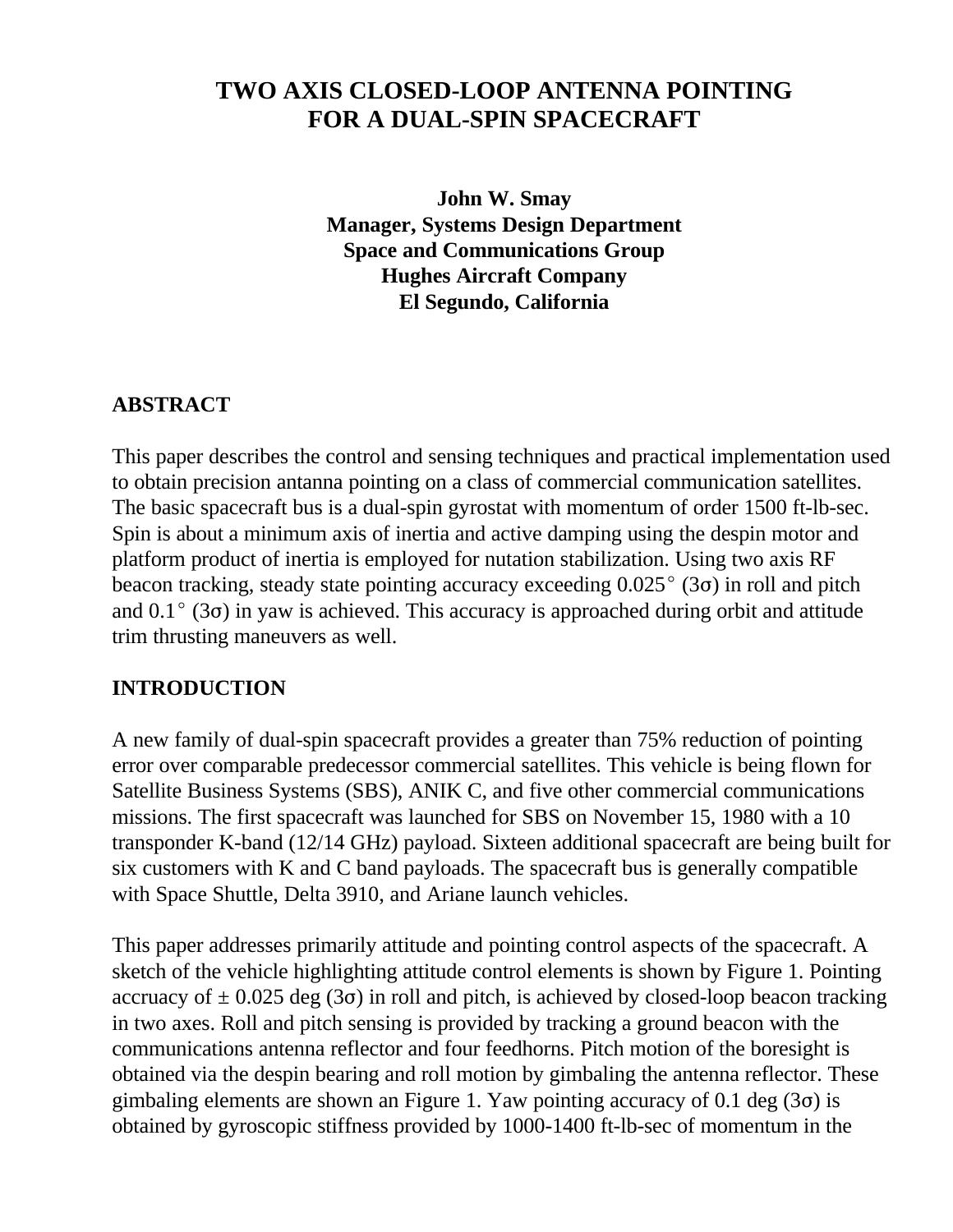# **TWO AXIS CLOSED-LOOP ANTENNA POINTING FOR A DUAL-SPIN SPACECRAFT**

**John W. Smay Manager, Systems Design Department Space and Communications Group Hughes Aircraft Company El Segundo, California**

### **ABSTRACT**

This paper describes the control and sensing techniques and practical implementation used to obtain precision antanna pointing on a class of commercial communication satellites. The basic spacecraft bus is a dual-spin gyrostat with momentum of order 1500 ft-lb-sec. Spin is about a minimum axis of inertia and active damping using the despin motor and platform product of inertia is employed for nutation stabilization. Using two axis RF beacon tracking, steady state pointing accuracy exceeding  $0.025^{\circ}$  (3 $\sigma$ ) in roll and pitch and  $0.1^{\circ}$  (3 $\sigma$ ) in yaw is achieved. This accuracy is approached during orbit and attitude trim thrusting maneuvers as well.

### **INTRODUCTION**

A new family of dual-spin spacecraft provides a greater than 75% reduction of pointing error over comparable predecessor commercial satellites. This vehicle is being flown for Satellite Business Systems (SBS), ANIK C, and five other commercial communications missions. The first spacecraft was launched for SBS on November 15, 1980 with a 10 transponder K-band (12/14 GHz) payload. Sixteen additional spacecraft are being built for six customers with K and C band payloads. The spacecraft bus is generally compatible with Space Shuttle, Delta 3910, and Ariane launch vehicles.

This paper addresses primarily attitude and pointing control aspects of the spacecraft. A sketch of the vehicle highlighting attitude control elements is shown by Figure 1. Pointing accruacy of  $\pm$  0.025 deg (3 $\sigma$ ) in roll and pitch, is achieved by closed-loop beacon tracking in two axes. Roll and pitch sensing is provided by tracking a ground beacon with the communications antenna reflector and four feedhorns. Pitch motion of the boresight is obtained via the despin bearing and roll motion by gimbaling the antenna reflector. These gimbaling elements are shown an Figure 1. Yaw pointing accuracy of 0.1 deg  $(3\sigma)$  is obtained by gyroscopic stiffness provided by 1000-1400 ft-lb-sec of momentum in the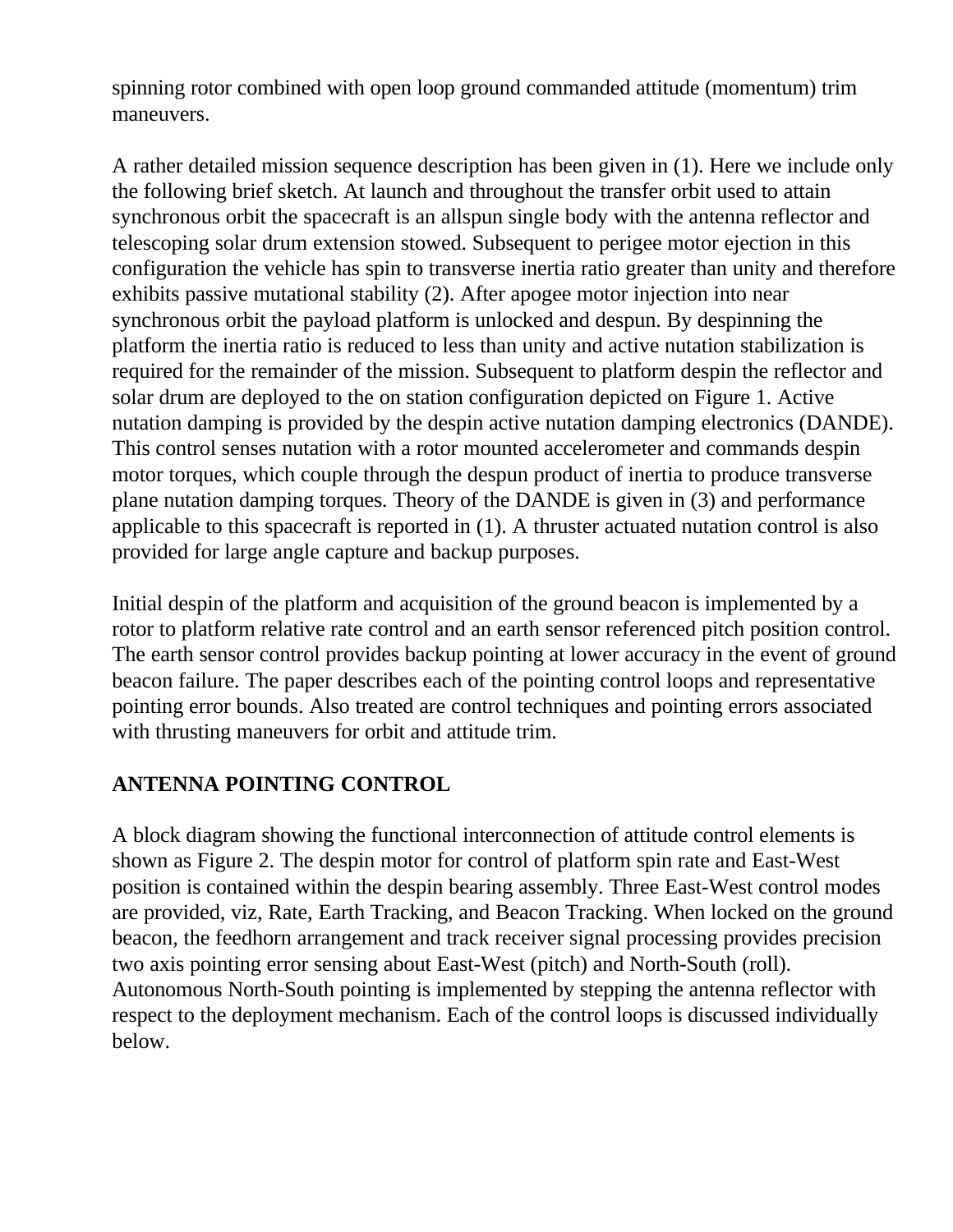spinning rotor combined with open loop ground commanded attitude (momentum) trim maneuvers.

A rather detailed mission sequence description has been given in (1). Here we include only the following brief sketch. At launch and throughout the transfer orbit used to attain synchronous orbit the spacecraft is an allspun single body with the antenna reflector and telescoping solar drum extension stowed. Subsequent to perigee motor ejection in this configuration the vehicle has spin to transverse inertia ratio greater than unity and therefore exhibits passive mutational stability (2). After apogee motor injection into near synchronous orbit the payload platform is unlocked and despun. By despinning the platform the inertia ratio is reduced to less than unity and active nutation stabilization is required for the remainder of the mission. Subsequent to platform despin the reflector and solar drum are deployed to the on station configuration depicted on Figure 1. Active nutation damping is provided by the despin active nutation damping electronics (DANDE). This control senses nutation with a rotor mounted accelerometer and commands despin motor torques, which couple through the despun product of inertia to produce transverse plane nutation damping torques. Theory of the DANDE is given in (3) and performance applicable to this spacecraft is reported in (1). A thruster actuated nutation control is also provided for large angle capture and backup purposes.

Initial despin of the platform and acquisition of the ground beacon is implemented by a rotor to platform relative rate control and an earth sensor referenced pitch position control. The earth sensor control provides backup pointing at lower accuracy in the event of ground beacon failure. The paper describes each of the pointing control loops and representative pointing error bounds. Also treated are control techniques and pointing errors associated with thrusting maneuvers for orbit and attitude trim.

## **ANTENNA POINTING CONTROL**

A block diagram showing the functional interconnection of attitude control elements is shown as Figure 2. The despin motor for control of platform spin rate and East-West position is contained within the despin bearing assembly. Three East-West control modes are provided, viz, Rate, Earth Tracking, and Beacon Tracking. When locked on the ground beacon, the feedhorn arrangement and track receiver signal processing provides precision two axis pointing error sensing about East-West (pitch) and North-South (roll). Autonomous North-South pointing is implemented by stepping the antenna reflector with respect to the deployment mechanism. Each of the control loops is discussed individually below.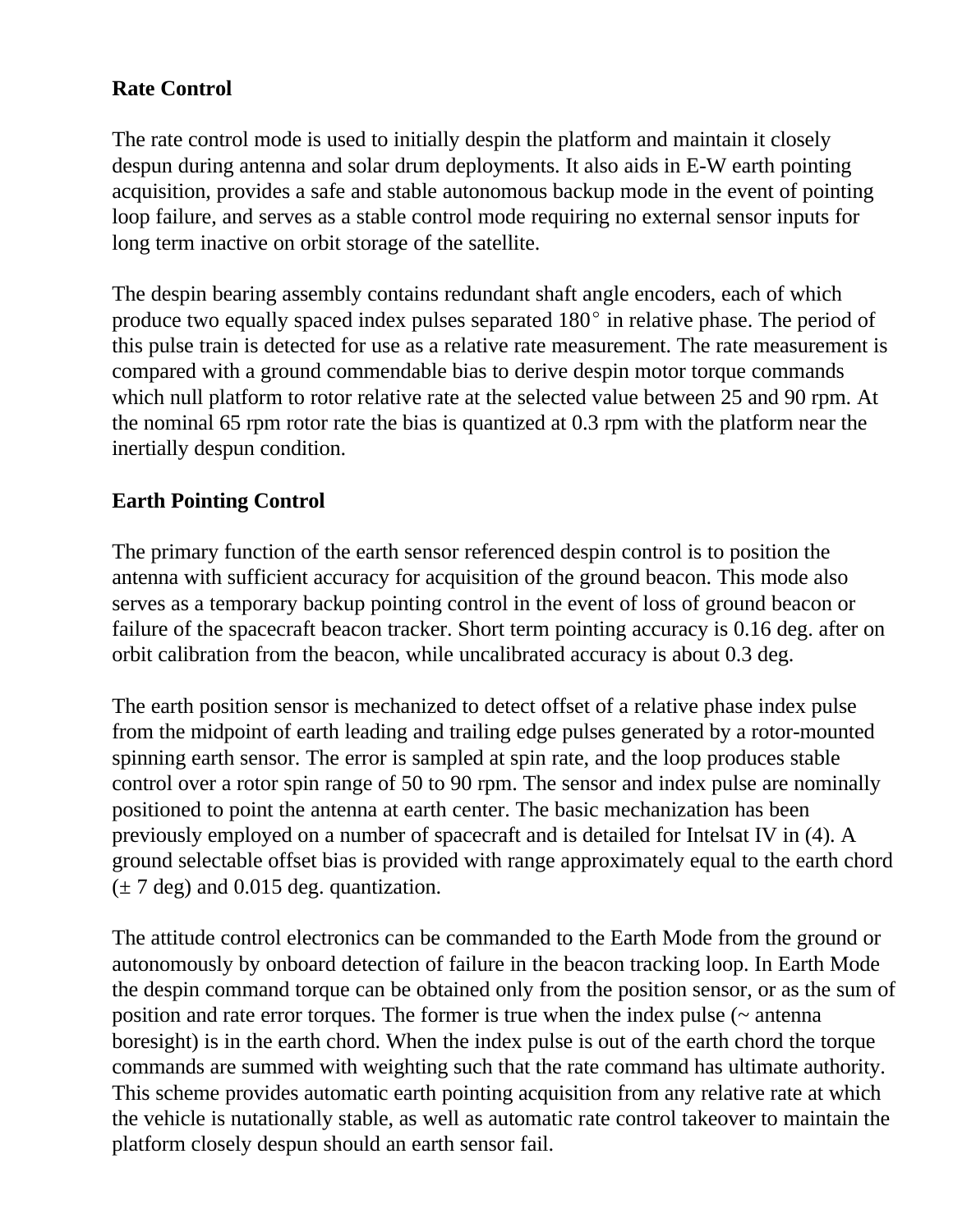## **Rate Control**

The rate control mode is used to initially despin the platform and maintain it closely despun during antenna and solar drum deployments. It also aids in E-W earth pointing acquisition, provides a safe and stable autonomous backup mode in the event of pointing loop failure, and serves as a stable control mode requiring no external sensor inputs for long term inactive on orbit storage of the satellite.

The despin bearing assembly contains redundant shaft angle encoders, each of which produce two equally spaced index pulses separated  $180^{\circ}$  in relative phase. The period of this pulse train is detected for use as a relative rate measurement. The rate measurement is compared with a ground commendable bias to derive despin motor torque commands which null platform to rotor relative rate at the selected value between 25 and 90 rpm. At the nominal 65 rpm rotor rate the bias is quantized at 0.3 rpm with the platform near the inertially despun condition.

### **Earth Pointing Control**

The primary function of the earth sensor referenced despin control is to position the antenna with sufficient accuracy for acquisition of the ground beacon. This mode also serves as a temporary backup pointing control in the event of loss of ground beacon or failure of the spacecraft beacon tracker. Short term pointing accuracy is 0.16 deg. after on orbit calibration from the beacon, while uncalibrated accuracy is about 0.3 deg.

The earth position sensor is mechanized to detect offset of a relative phase index pulse from the midpoint of earth leading and trailing edge pulses generated by a rotor-mounted spinning earth sensor. The error is sampled at spin rate, and the loop produces stable control over a rotor spin range of 50 to 90 rpm. The sensor and index pulse are nominally positioned to point the antenna at earth center. The basic mechanization has been previously employed on a number of spacecraft and is detailed for Intelsat IV in (4). A ground selectable offset bias is provided with range approximately equal to the earth chord  $(\pm 7 \text{ deg})$  and 0.015 deg. quantization.

The attitude control electronics can be commanded to the Earth Mode from the ground or autonomously by onboard detection of failure in the beacon tracking loop. In Earth Mode the despin command torque can be obtained only from the position sensor, or as the sum of position and rate error torques. The former is true when the index pulse (~ antenna boresight) is in the earth chord. When the index pulse is out of the earth chord the torque commands are summed with weighting such that the rate command has ultimate authority. This scheme provides automatic earth pointing acquisition from any relative rate at which the vehicle is nutationally stable, as well as automatic rate control takeover to maintain the platform closely despun should an earth sensor fail.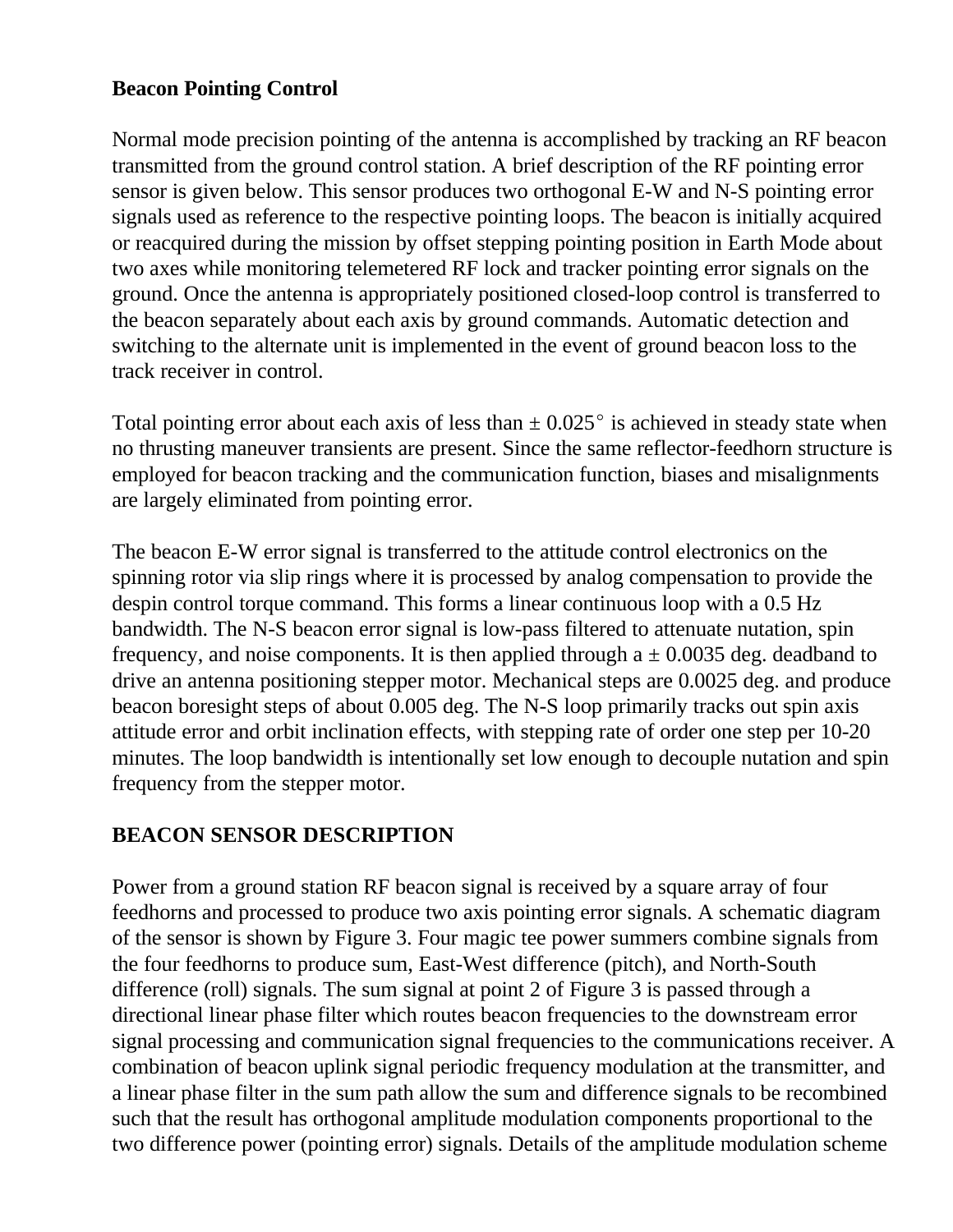### **Beacon Pointing Control**

Normal mode precision pointing of the antenna is accomplished by tracking an RF beacon transmitted from the ground control station. A brief description of the RF pointing error sensor is given below. This sensor produces two orthogonal E-W and N-S pointing error signals used as reference to the respective pointing loops. The beacon is initially acquired or reacquired during the mission by offset stepping pointing position in Earth Mode about two axes while monitoring telemetered RF lock and tracker pointing error signals on the ground. Once the antenna is appropriately positioned closed-loop control is transferred to the beacon separately about each axis by ground commands. Automatic detection and switching to the alternate unit is implemented in the event of ground beacon loss to the track receiver in control.

Total pointing error about each axis of less than  $\pm$  0.025 $^{\circ}$  is achieved in steady state when no thrusting maneuver transients are present. Since the same reflector-feedhorn structure is employed for beacon tracking and the communication function, biases and misalignments are largely eliminated from pointing error.

The beacon E-W error signal is transferred to the attitude control electronics on the spinning rotor via slip rings where it is processed by analog compensation to provide the despin control torque command. This forms a linear continuous loop with a 0.5 Hz bandwidth. The N-S beacon error signal is low-pass filtered to attenuate nutation, spin frequency, and noise components. It is then applied through  $a \pm 0.0035$  deg. deadband to drive an antenna positioning stepper motor. Mechanical steps are 0.0025 deg. and produce beacon boresight steps of about 0.005 deg. The N-S loop primarily tracks out spin axis attitude error and orbit inclination effects, with stepping rate of order one step per 10-20 minutes. The loop bandwidth is intentionally set low enough to decouple nutation and spin frequency from the stepper motor.

### **BEACON SENSOR DESCRIPTION**

Power from a ground station RF beacon signal is received by a square array of four feedhorns and processed to produce two axis pointing error signals. A schematic diagram of the sensor is shown by Figure 3. Four magic tee power summers combine signals from the four feedhorns to produce sum, East-West difference (pitch), and North-South difference (roll) signals. The sum signal at point 2 of Figure 3 is passed through a directional linear phase filter which routes beacon frequencies to the downstream error signal processing and communication signal frequencies to the communications receiver. A combination of beacon uplink signal periodic frequency modulation at the transmitter, and a linear phase filter in the sum path allow the sum and difference signals to be recombined such that the result has orthogonal amplitude modulation components proportional to the two difference power (pointing error) signals. Details of the amplitude modulation scheme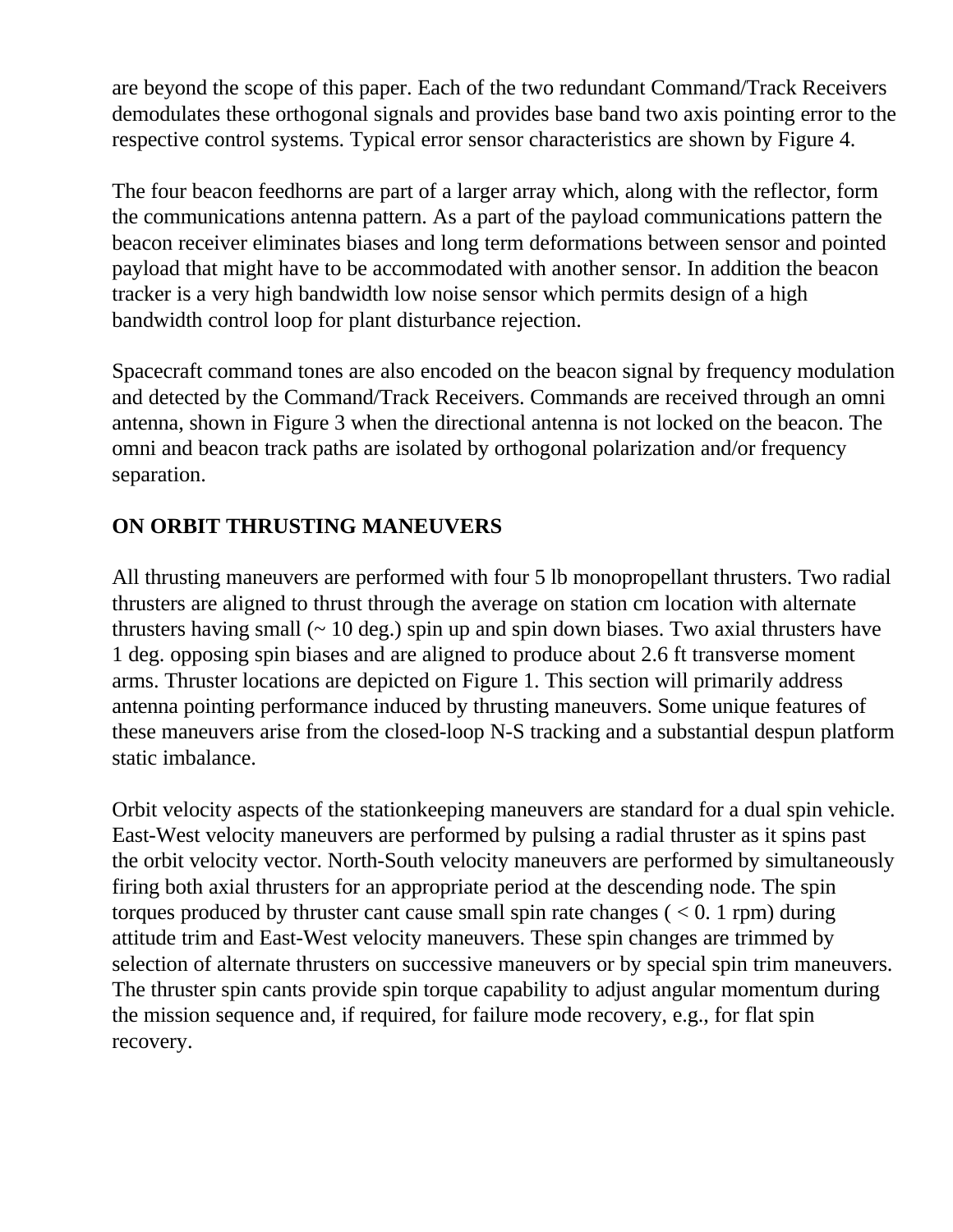are beyond the scope of this paper. Each of the two redundant Command/Track Receivers demodulates these orthogonal signals and provides base band two axis pointing error to the respective control systems. Typical error sensor characteristics are shown by Figure 4.

The four beacon feedhorns are part of a larger array which, along with the reflector, form the communications antenna pattern. As a part of the payload communications pattern the beacon receiver eliminates biases and long term deformations between sensor and pointed payload that might have to be accommodated with another sensor. In addition the beacon tracker is a very high bandwidth low noise sensor which permits design of a high bandwidth control loop for plant disturbance rejection.

Spacecraft command tones are also encoded on the beacon signal by frequency modulation and detected by the Command/Track Receivers. Commands are received through an omni antenna, shown in Figure 3 when the directional antenna is not locked on the beacon. The omni and beacon track paths are isolated by orthogonal polarization and/or frequency separation.

### **ON ORBIT THRUSTING MANEUVERS**

All thrusting maneuvers are performed with four 5 lb monopropellant thrusters. Two radial thrusters are aligned to thrust through the average on station cm location with alternate thrusters having small  $($   $\sim$  10 deg.) spin up and spin down biases. Two axial thrusters have 1 deg. opposing spin biases and are aligned to produce about 2.6 ft transverse moment arms. Thruster locations are depicted on Figure 1. This section will primarily address antenna pointing performance induced by thrusting maneuvers. Some unique features of these maneuvers arise from the closed-loop N-S tracking and a substantial despun platform static imbalance.

Orbit velocity aspects of the stationkeeping maneuvers are standard for a dual spin vehicle. East-West velocity maneuvers are performed by pulsing a radial thruster as it spins past the orbit velocity vector. North-South velocity maneuvers are performed by simultaneously firing both axial thrusters for an appropriate period at the descending node. The spin torques produced by thruster cant cause small spin rate changes  $(< 0.1$  rpm) during attitude trim and East-West velocity maneuvers. These spin changes are trimmed by selection of alternate thrusters on successive maneuvers or by special spin trim maneuvers. The thruster spin cants provide spin torque capability to adjust angular momentum during the mission sequence and, if required, for failure mode recovery, e.g., for flat spin recovery.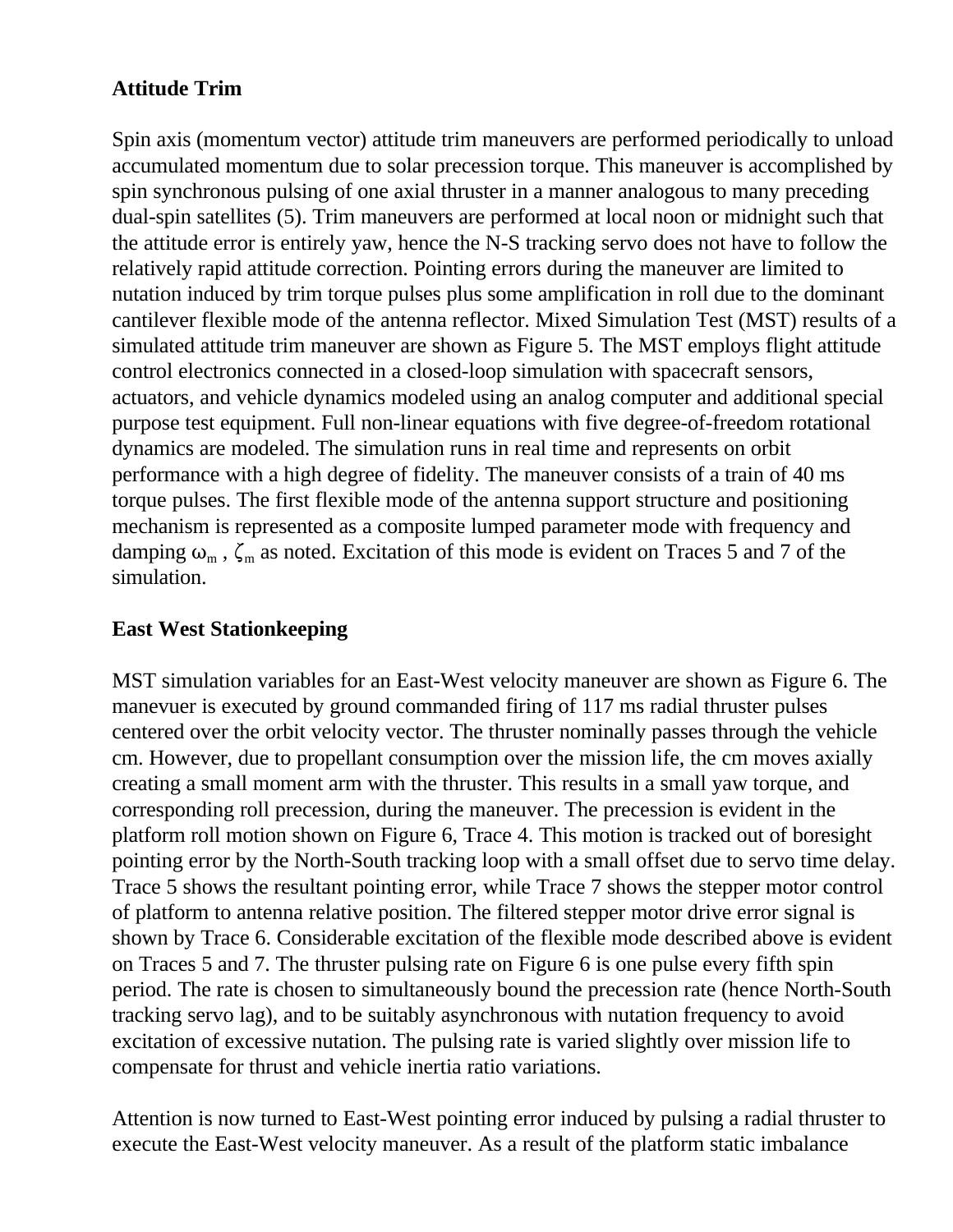## **Attitude Trim**

Spin axis (momentum vector) attitude trim maneuvers are performed periodically to unload accumulated momentum due to solar precession torque. This maneuver is accomplished by spin synchronous pulsing of one axial thruster in a manner analogous to many preceding dual-spin satellites (5). Trim maneuvers are performed at local noon or midnight such that the attitude error is entirely yaw, hence the N-S tracking servo does not have to follow the relatively rapid attitude correction. Pointing errors during the maneuver are limited to nutation induced by trim torque pulses plus some amplification in roll due to the dominant cantilever flexible mode of the antenna reflector. Mixed Simulation Test (MST) results of a simulated attitude trim maneuver are shown as Figure 5. The MST employs flight attitude control electronics connected in a closed-loop simulation with spacecraft sensors, actuators, and vehicle dynamics modeled using an analog computer and additional special purpose test equipment. Full non-linear equations with five degree-of-freedom rotational dynamics are modeled. The simulation runs in real time and represents on orbit performance with a high degree of fidelity. The maneuver consists of a train of 40 ms torque pulses. The first flexible mode of the antenna support structure and positioning mechanism is represented as a composite lumped parameter mode with frequency and damping  $\omega_m$ ,  $\zeta_m$  as noted. Excitation of this mode is evident on Traces 5 and 7 of the simulation.

### **East West Stationkeeping**

MST simulation variables for an East-West velocity maneuver are shown as Figure 6. The manevuer is executed by ground commanded firing of 117 ms radial thruster pulses centered over the orbit velocity vector. The thruster nominally passes through the vehicle cm. However, due to propellant consumption over the mission life, the cm moves axially creating a small moment arm with the thruster. This results in a small yaw torque, and corresponding roll precession, during the maneuver. The precession is evident in the platform roll motion shown on Figure 6, Trace 4. This motion is tracked out of boresight pointing error by the North-South tracking loop with a small offset due to servo time delay. Trace 5 shows the resultant pointing error, while Trace 7 shows the stepper motor control of platform to antenna relative position. The filtered stepper motor drive error signal is shown by Trace 6. Considerable excitation of the flexible mode described above is evident on Traces 5 and 7. The thruster pulsing rate on Figure 6 is one pulse every fifth spin period. The rate is chosen to simultaneously bound the precession rate (hence North-South tracking servo lag), and to be suitably asynchronous with nutation frequency to avoid excitation of excessive nutation. The pulsing rate is varied slightly over mission life to compensate for thrust and vehicle inertia ratio variations.

Attention is now turned to East-West pointing error induced by pulsing a radial thruster to execute the East-West velocity maneuver. As a result of the platform static imbalance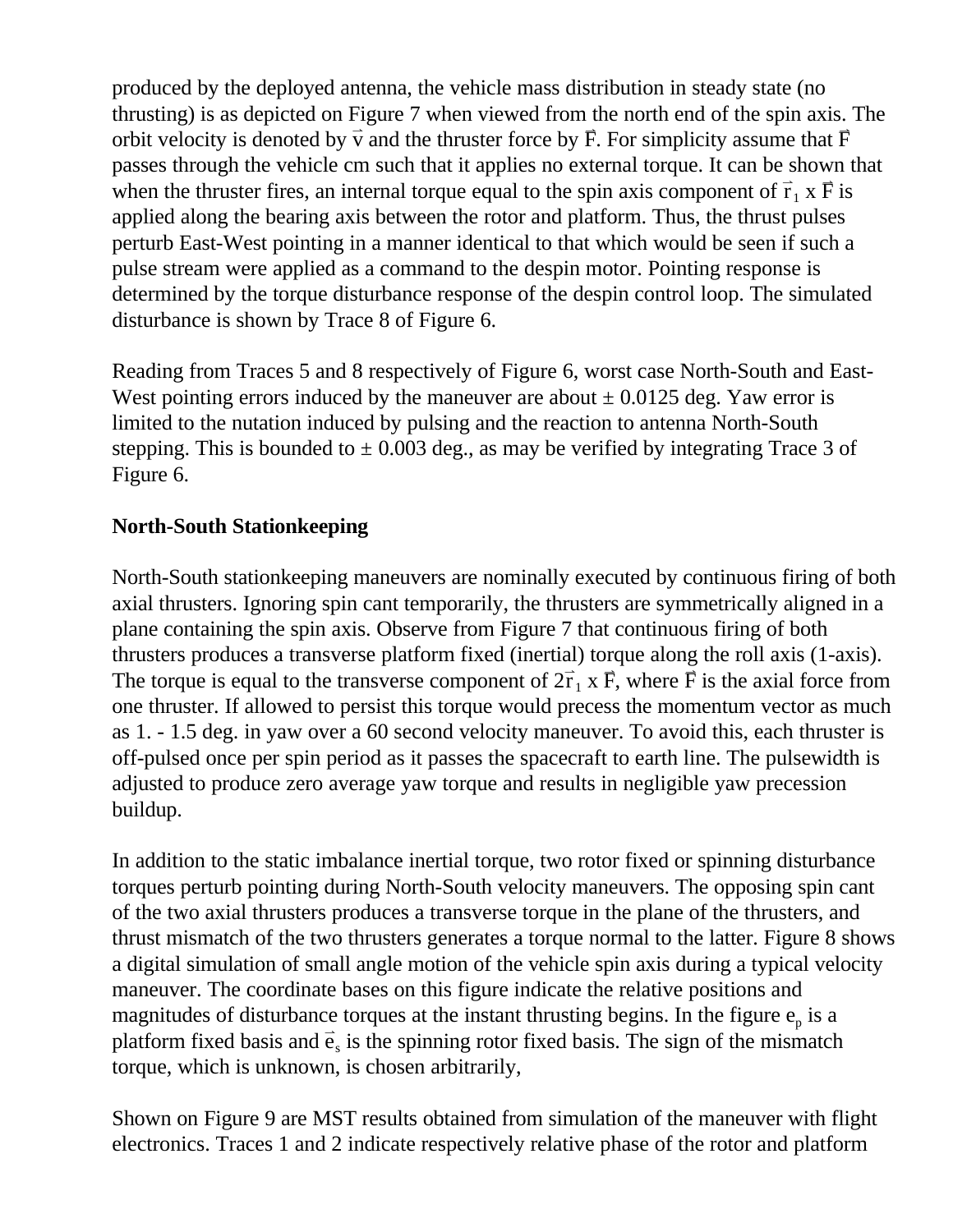produced by the deployed antenna, the vehicle mass distribution in steady state (no thrusting) is as depicted on Figure 7 when viewed from the north end of the spin axis. The orbit velocity is denoted by  $\vec{v}$  and the thruster force by  $\vec{F}$ . For simplicity assume that  $\vec{F}$ passes through the vehicle cm such that it applies no external torque. It can be shown that when the thruster fires, an internal torque equal to the spin axis component of  $\vec{r}$  $_1$  x  $\vec{F}$  is applied along the bearing axis between the rotor and platform. Thus, the thrust pulses perturb East-West pointing in a manner identical to that which would be seen if such a pulse stream were applied as a command to the despin motor. Pointing response is determined by the torque disturbance response of the despin control loop. The simulated disturbance is shown by Trace 8 of Figure 6.

Reading from Traces 5 and 8 respectively of Figure 6, worst case North-South and East-West pointing errors induced by the maneuver are about  $\pm$  0.0125 deg. Yaw error is limited to the nutation induced by pulsing and the reaction to antenna North-South stepping. This is bounded to  $\pm$  0.003 deg., as may be verified by integrating Trace 3 of Figure 6.

### **North-South Stationkeeping**

North-South stationkeeping maneuvers are nominally executed by continuous firing of both axial thrusters. Ignoring spin cant temporarily, the thrusters are symmetrically aligned in a plane containing the spin axis. Observe from Figure 7 that continuous firing of both thrusters produces a transverse platform fixed (inertial) torque along the roll axis (1-axis). The torque is equal to the transverse component of  $2\vec{r}$  $\overrightarrow{I}$  x F, where F is the axial force from one thruster. If allowed to persist this torque would precess the momentum vector as much as 1. - 1.5 deg. in yaw over a 60 second velocity maneuver. To avoid this, each thruster is off-pulsed once per spin period as it passes the spacecraft to earth line. The pulsewidth is adjusted to produce zero average yaw torque and results in negligible yaw precession buildup.

In addition to the static imbalance inertial torque, two rotor fixed or spinning disturbance torques perturb pointing during North-South velocity maneuvers. The opposing spin cant of the two axial thrusters produces a transverse torque in the plane of the thrusters, and thrust mismatch of the two thrusters generates a torque normal to the latter. Figure 8 shows a digital simulation of small angle motion of the vehicle spin axis during a typical velocity maneuver. The coordinate bases on this figure indicate the relative positions and magnitudes of disturbance torques at the instant thrusting begins. In the figure  $e_p$  is a platform fixed basis and  $\vec{e}$ s is the spinning rotor fixed basis. The sign of the mismatch torque, which is unknown, is chosen arbitrarily,

Shown on Figure 9 are MST results obtained from simulation of the maneuver with flight electronics. Traces 1 and 2 indicate respectively relative phase of the rotor and platform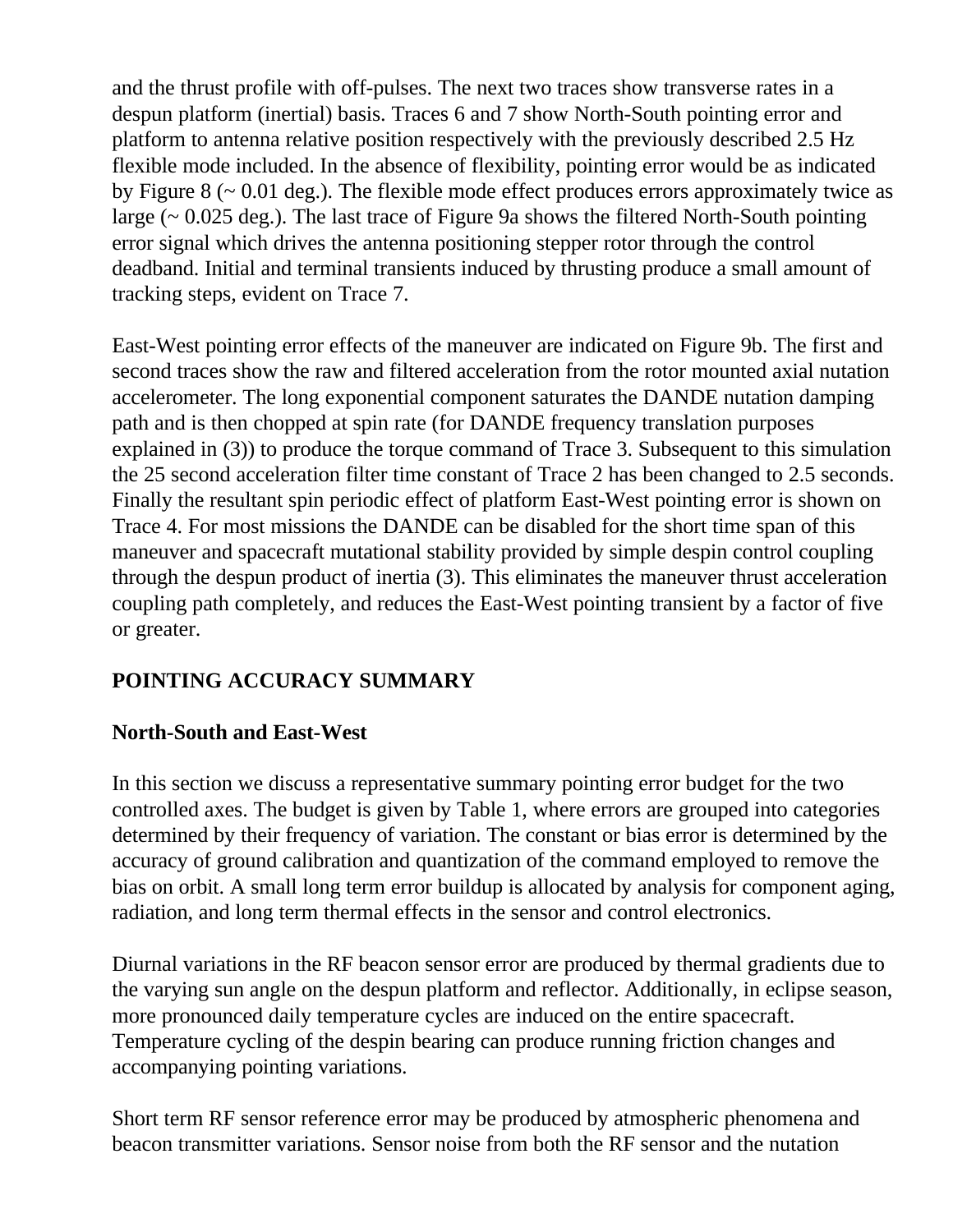and the thrust profile with off-pulses. The next two traces show transverse rates in a despun platform (inertial) basis. Traces 6 and 7 show North-South pointing error and platform to antenna relative position respectively with the previously described 2.5 Hz flexible mode included. In the absence of flexibility, pointing error would be as indicated by Figure  $8 \left( \sim 0.01 \text{ deg.} \right)$ . The flexible mode effect produces errors approximately twice as large (~ 0.025 deg.). The last trace of Figure 9a shows the filtered North-South pointing error signal which drives the antenna positioning stepper rotor through the control deadband. Initial and terminal transients induced by thrusting produce a small amount of tracking steps, evident on Trace 7.

East-West pointing error effects of the maneuver are indicated on Figure 9b. The first and second traces show the raw and filtered acceleration from the rotor mounted axial nutation accelerometer. The long exponential component saturates the DANDE nutation damping path and is then chopped at spin rate (for DANDE frequency translation purposes explained in (3)) to produce the torque command of Trace 3. Subsequent to this simulation the 25 second acceleration filter time constant of Trace 2 has been changed to 2.5 seconds. Finally the resultant spin periodic effect of platform East-West pointing error is shown on Trace 4. For most missions the DANDE can be disabled for the short time span of this maneuver and spacecraft mutational stability provided by simple despin control coupling through the despun product of inertia (3). This eliminates the maneuver thrust acceleration coupling path completely, and reduces the East-West pointing transient by a factor of five or greater.

## **POINTING ACCURACY SUMMARY**

### **North-South and East-West**

In this section we discuss a representative summary pointing error budget for the two controlled axes. The budget is given by Table 1, where errors are grouped into categories determined by their frequency of variation. The constant or bias error is determined by the accuracy of ground calibration and quantization of the command employed to remove the bias on orbit. A small long term error buildup is allocated by analysis for component aging, radiation, and long term thermal effects in the sensor and control electronics.

Diurnal variations in the RF beacon sensor error are produced by thermal gradients due to the varying sun angle on the despun platform and reflector. Additionally, in eclipse season, more pronounced daily temperature cycles are induced on the entire spacecraft. Temperature cycling of the despin bearing can produce running friction changes and accompanying pointing variations.

Short term RF sensor reference error may be produced by atmospheric phenomena and beacon transmitter variations. Sensor noise from both the RF sensor and the nutation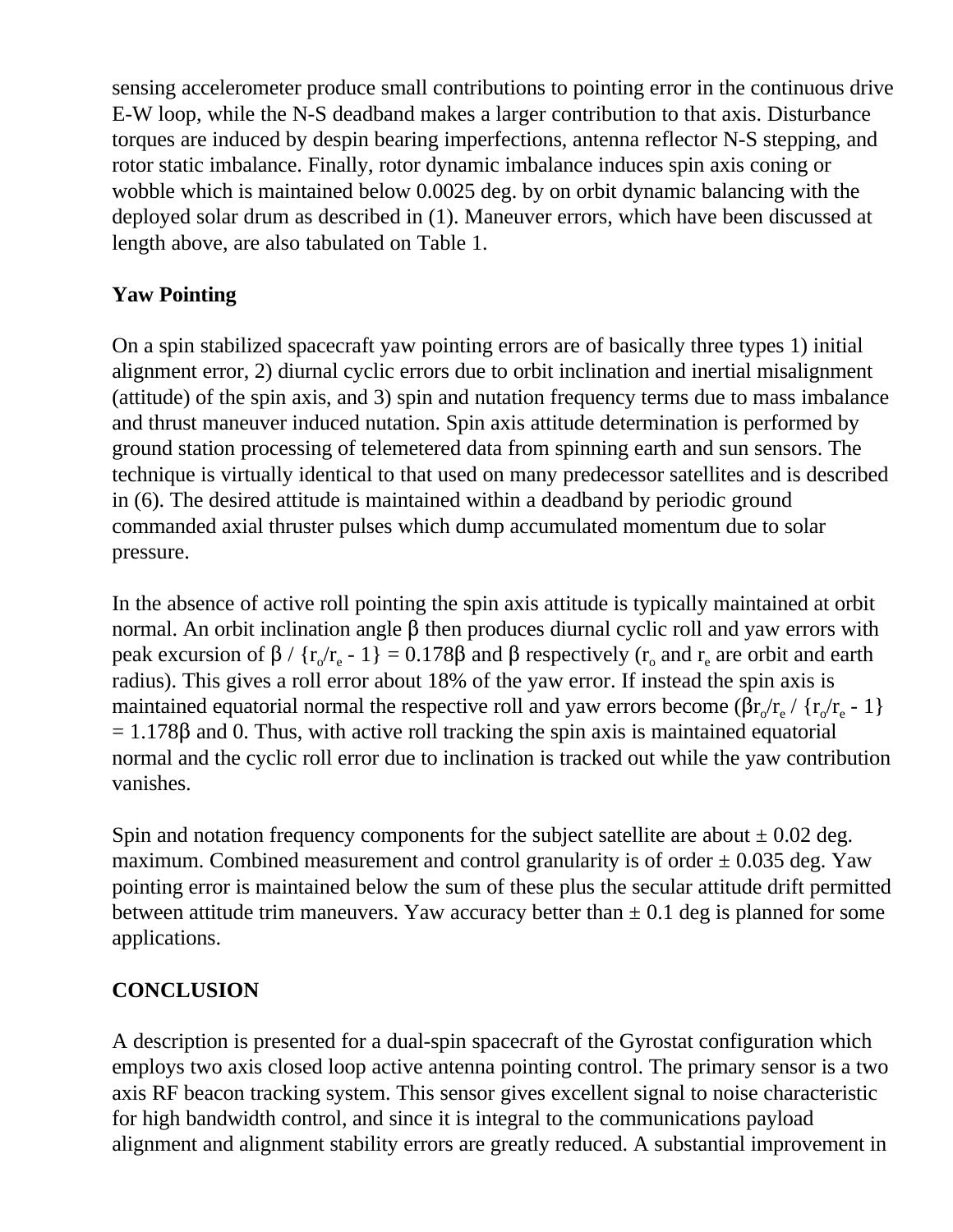sensing accelerometer produce small contributions to pointing error in the continuous drive E-W loop, while the N-S deadband makes a larger contribution to that axis. Disturbance torques are induced by despin bearing imperfections, antenna reflector N-S stepping, and rotor static imbalance. Finally, rotor dynamic imbalance induces spin axis coning or wobble which is maintained below 0.0025 deg. by on orbit dynamic balancing with the deployed solar drum as described in (1). Maneuver errors, which have been discussed at length above, are also tabulated on Table 1.

## **Yaw Pointing**

On a spin stabilized spacecraft yaw pointing errors are of basically three types 1) initial alignment error, 2) diurnal cyclic errors due to orbit inclination and inertial misalignment (attitude) of the spin axis, and 3) spin and nutation frequency terms due to mass imbalance and thrust maneuver induced nutation. Spin axis attitude determination is performed by ground station processing of telemetered data from spinning earth and sun sensors. The technique is virtually identical to that used on many predecessor satellites and is described in (6). The desired attitude is maintained within a deadband by periodic ground commanded axial thruster pulses which dump accumulated momentum due to solar pressure.

In the absence of active roll pointing the spin axis attitude is typically maintained at orbit normal. An orbit inclination angle  $\beta$  then produces diurnal cyclic roll and yaw errors with peak excursion of  $\beta$  / { $r_o/r_e$  - 1} = 0.178 $\beta$  and  $\beta$  respectively ( $r_o$  and  $r_e$  are orbit and earth radius). This gives a roll error about 18% of the yaw error. If instead the spin axis is maintained equatorial normal the respective roll and yaw errors become ( $\beta r_c/r_e / r_c/r_e - 1$ )  $= 1.178\beta$  and 0. Thus, with active roll tracking the spin axis is maintained equatorial normal and the cyclic roll error due to inclination is tracked out while the yaw contribution vanishes.

Spin and notation frequency components for the subject satellite are about  $\pm$  0.02 deg. maximum. Combined measurement and control granularity is of order  $\pm$  0.035 deg. Yaw pointing error is maintained below the sum of these plus the secular attitude drift permitted between attitude trim maneuvers. Yaw accuracy better than  $\pm$  0.1 deg is planned for some applications.

## **CONCLUSION**

A description is presented for a dual-spin spacecraft of the Gyrostat configuration which employs two axis closed loop active antenna pointing control. The primary sensor is a two axis RF beacon tracking system. This sensor gives excellent signal to noise characteristic for high bandwidth control, and since it is integral to the communications payload alignment and alignment stability errors are greatly reduced. A substantial improvement in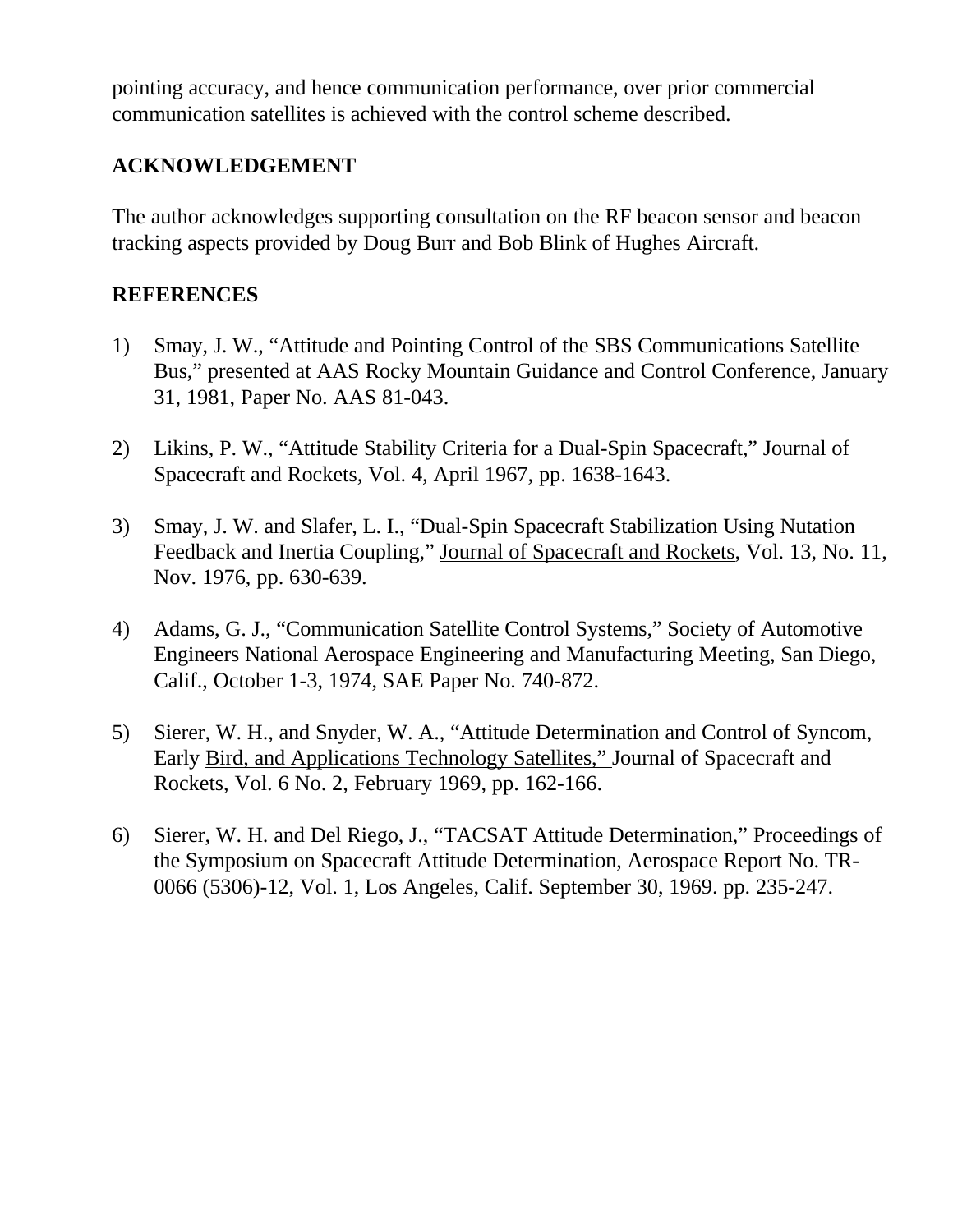pointing accuracy, and hence communication performance, over prior commercial communication satellites is achieved with the control scheme described.

### **ACKNOWLEDGEMENT**

The author acknowledges supporting consultation on the RF beacon sensor and beacon tracking aspects provided by Doug Burr and Bob Blink of Hughes Aircraft.

#### **REFERENCES**

- 1) Smay, J. W., "Attitude and Pointing Control of the SBS Communications Satellite Bus," presented at AAS Rocky Mountain Guidance and Control Conference, January 31, 1981, Paper No. AAS 81-043.
- 2) Likins, P. W., "Attitude Stability Criteria for a Dual-Spin Spacecraft," Journal of Spacecraft and Rockets, Vol. 4, April 1967, pp. 1638-1643.
- 3) Smay, J. W. and Slafer, L. I., "Dual-Spin Spacecraft Stabilization Using Nutation Feedback and Inertia Coupling," Journal of Spacecraft and Rockets, Vol. 13, No. 11, Nov. 1976, pp. 630-639.
- 4) Adams, G. J., "Communication Satellite Control Systems," Society of Automotive Engineers National Aerospace Engineering and Manufacturing Meeting, San Diego, Calif., October 1-3, 1974, SAE Paper No. 740-872.
- 5) Sierer, W. H., and Snyder, W. A., "Attitude Determination and Control of Syncom, Early Bird, and Applications Technology Satellites," Journal of Spacecraft and Rockets, Vol. 6 No. 2, February 1969, pp. 162-166.
- 6) Sierer, W. H. and Del Riego, J., "TACSAT Attitude Determination," Proceedings of the Symposium on Spacecraft Attitude Determination, Aerospace Report No. TR-0066 (5306)-12, Vol. 1, Los Angeles, Calif. September 30, 1969. pp. 235-247.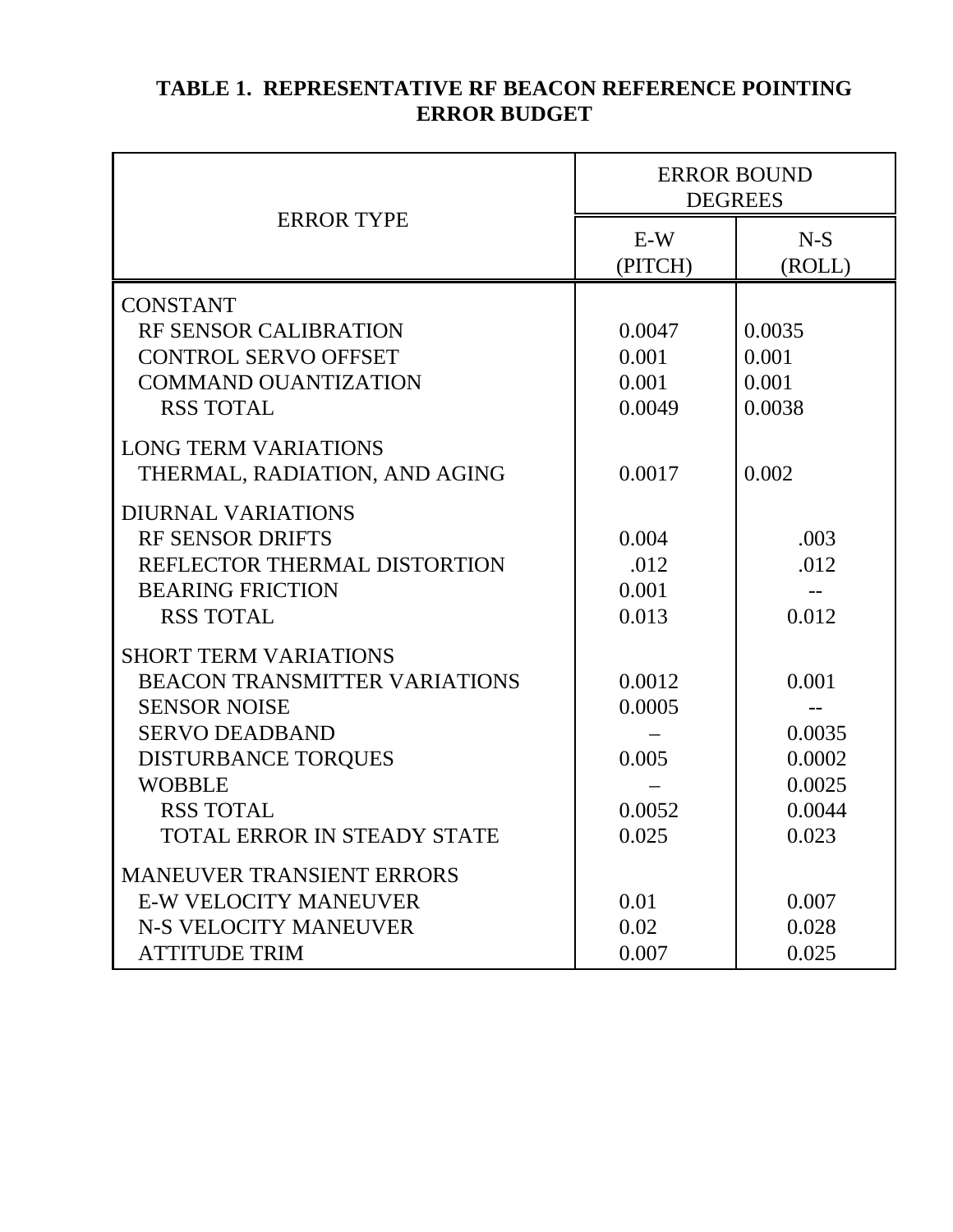| <b>TABLE 1. REPRESENTATIVE RF BEACON REFERENCE POINTING</b> |
|-------------------------------------------------------------|
| <b>ERROR BUDGET</b>                                         |

|                                    | <b>ERROR BOUND</b><br><b>DEGREES</b> |                 |
|------------------------------------|--------------------------------------|-----------------|
| <b>ERROR TYPE</b>                  | $E-W$<br>(PITCH)                     | $N-S$<br>(ROLL) |
| <b>CONSTANT</b>                    |                                      |                 |
| RF SENSOR CALIBRATION              | 0.0047                               | 0.0035          |
| <b>CONTROL SERVO OFFSET</b>        | 0.001                                | 0.001           |
| <b>COMMAND OUANTIZATION</b>        | 0.001                                | 0.001           |
| <b>RSS TOTAL</b>                   | 0.0049                               | 0.0038          |
| <b>LONG TERM VARIATIONS</b>        |                                      |                 |
| THERMAL, RADIATION, AND AGING      | 0.0017                               | 0.002           |
| <b>DIURNAL VARIATIONS</b>          |                                      |                 |
| <b>RF SENSOR DRIFTS</b>            | 0.004                                | .003            |
| REFLECTOR THERMAL DISTORTION       | .012                                 | .012            |
| <b>BEARING FRICTION</b>            | 0.001                                |                 |
| <b>RSS TOTAL</b>                   | 0.013                                | 0.012           |
| <b>SHORT TERM VARIATIONS</b>       |                                      |                 |
| BEACON TRANSMITTER VARIATIONS      | 0.0012                               | 0.001           |
| <b>SENSOR NOISE</b>                | 0.0005                               |                 |
| <b>SERVO DEADBAND</b>              |                                      | 0.0035          |
| <b>DISTURBANCE TORQUES</b>         | 0.005                                | 0.0002          |
| <b>WOBBLE</b>                      |                                      | 0.0025          |
| <b>RSS TOTAL</b>                   | 0.0052                               | 0.0044          |
| <b>TOTAL ERROR IN STEADY STATE</b> | 0.025                                | 0.023           |
| <b>MANEUVER TRANSIENT ERRORS</b>   |                                      |                 |
| <b>E-W VELOCITY MANEUVER</b>       | 0.01                                 | 0.007           |
| <b>N-S VELOCITY MANEUVER</b>       | 0.02                                 | 0.028           |
| <b>ATTITUDE TRIM</b>               | 0.007                                | 0.025           |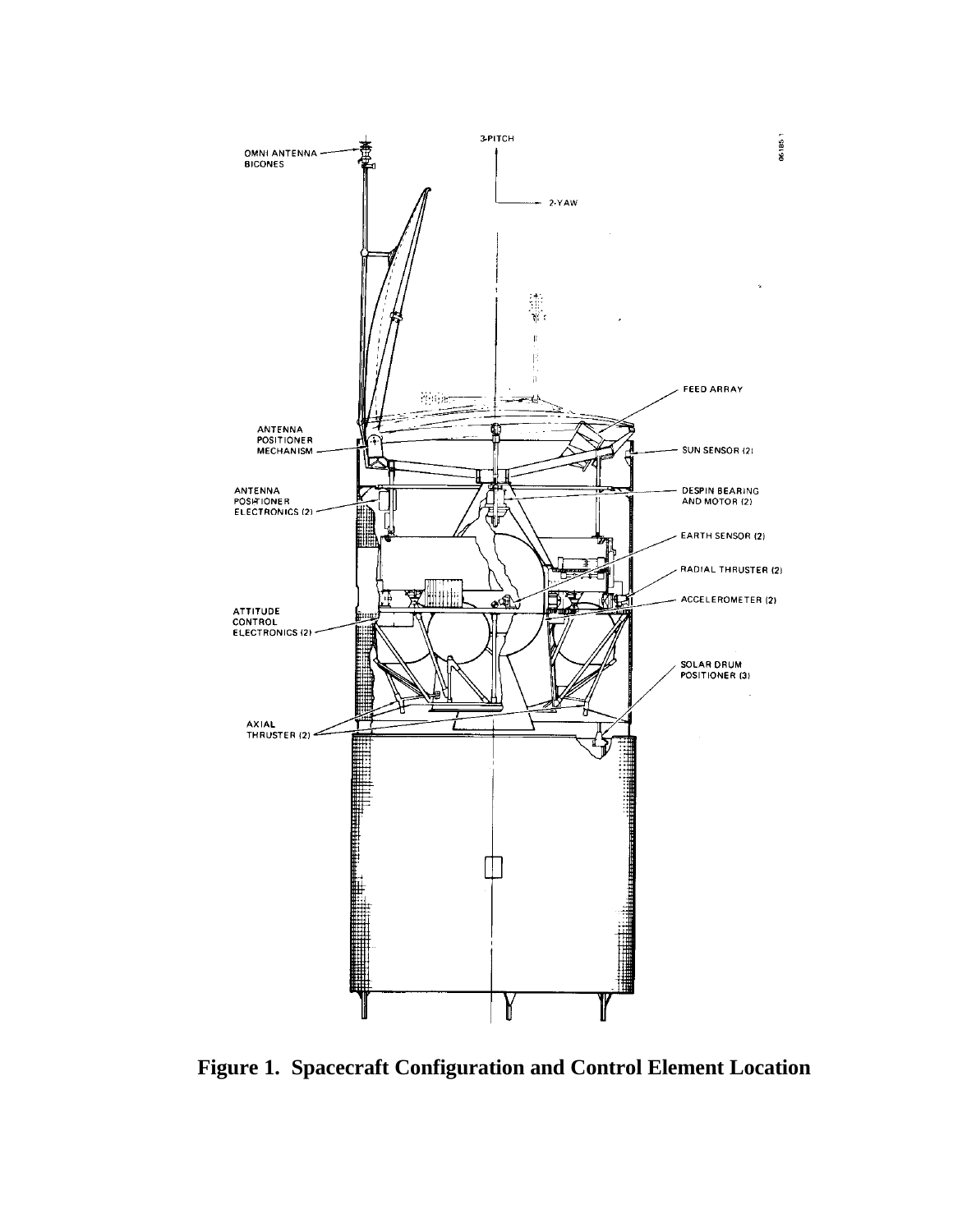

**Figure 1. Spacecraft Configuration and Control Element Location**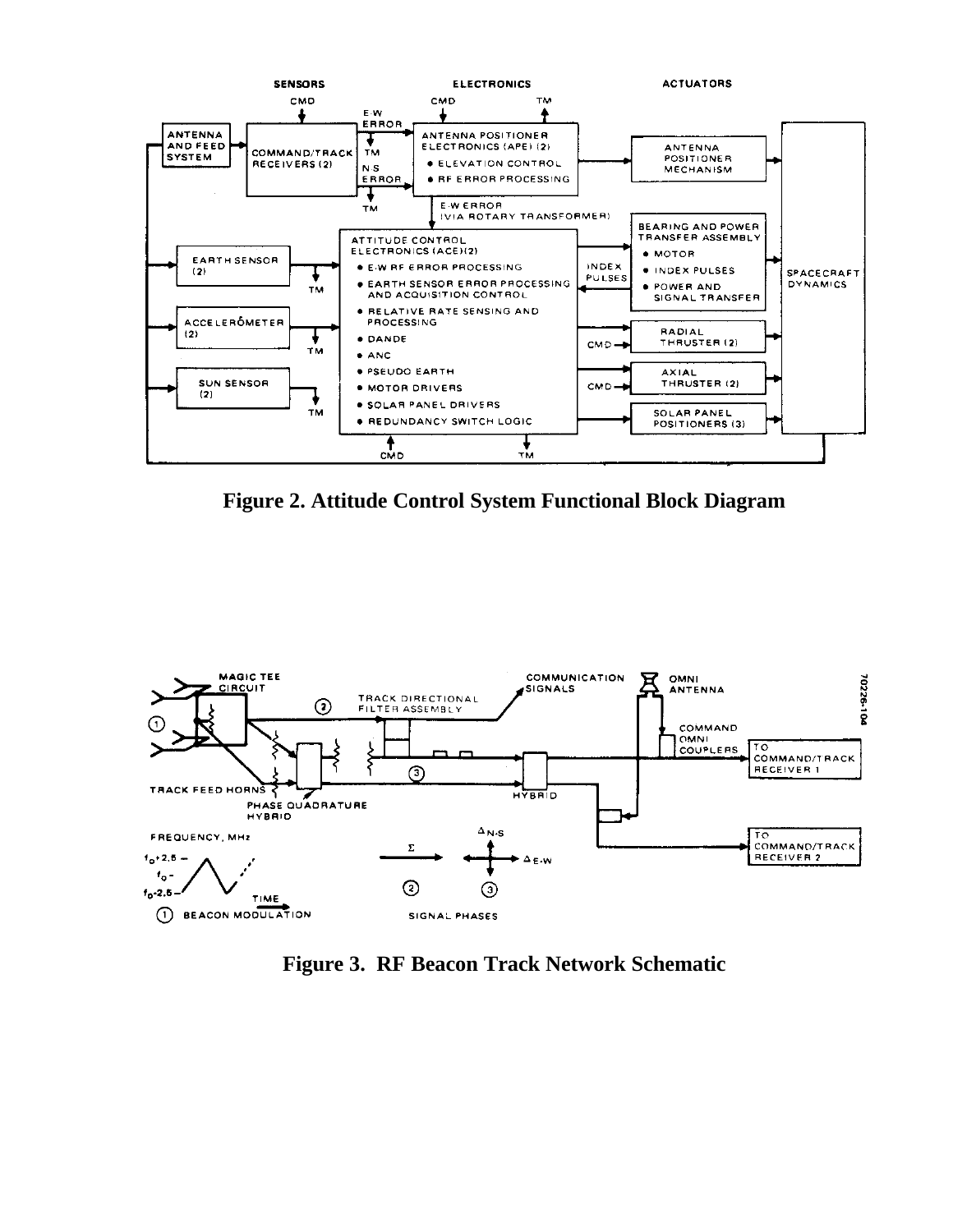

**Figure 2. Attitude Control System Functional Block Diagram**



**Figure 3. RF Beacon Track Network Schematic**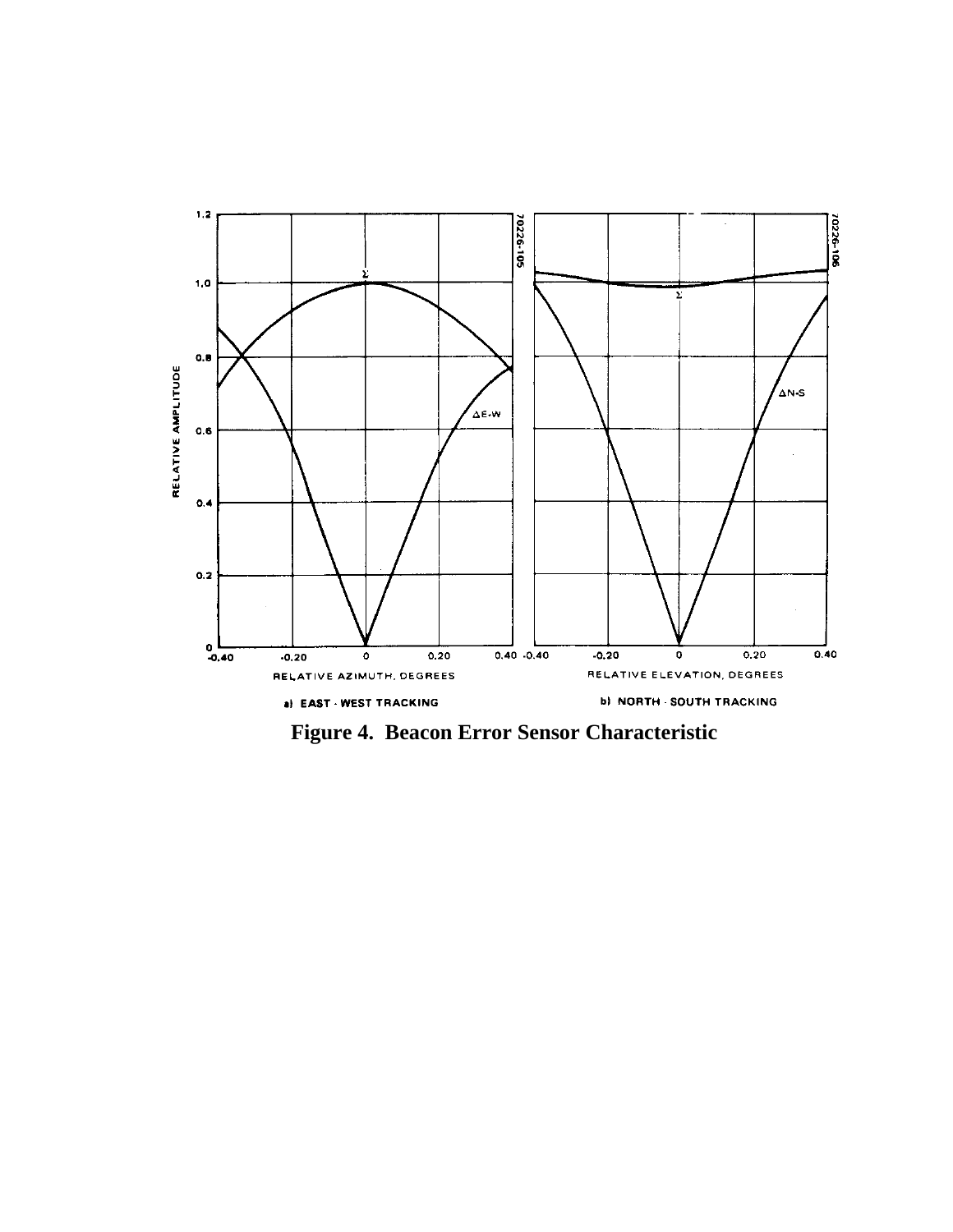

**Figure 4. Beacon Error Sensor Characteristic**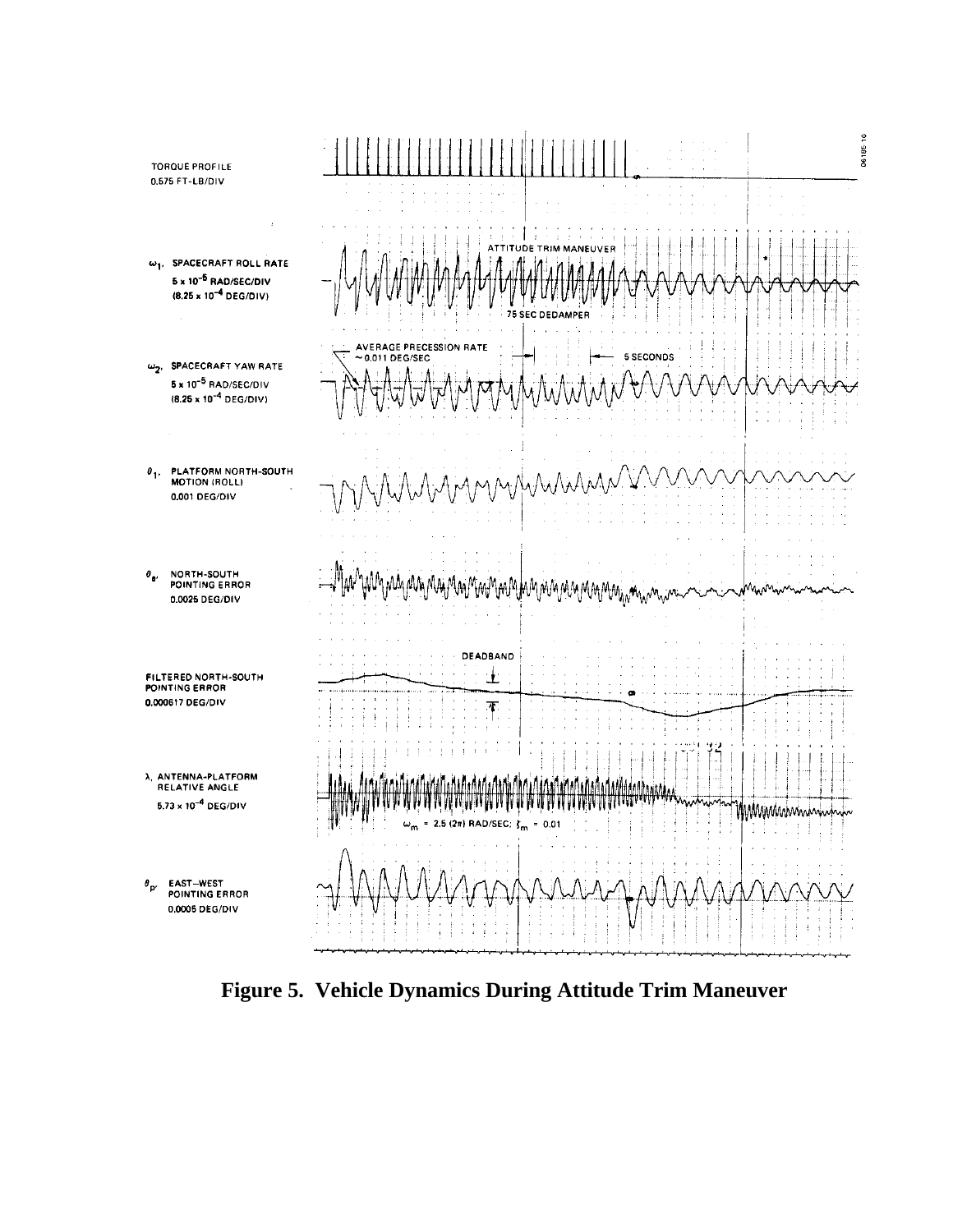

**Figure 5. Vehicle Dynamics During Attitude Trim Maneuver**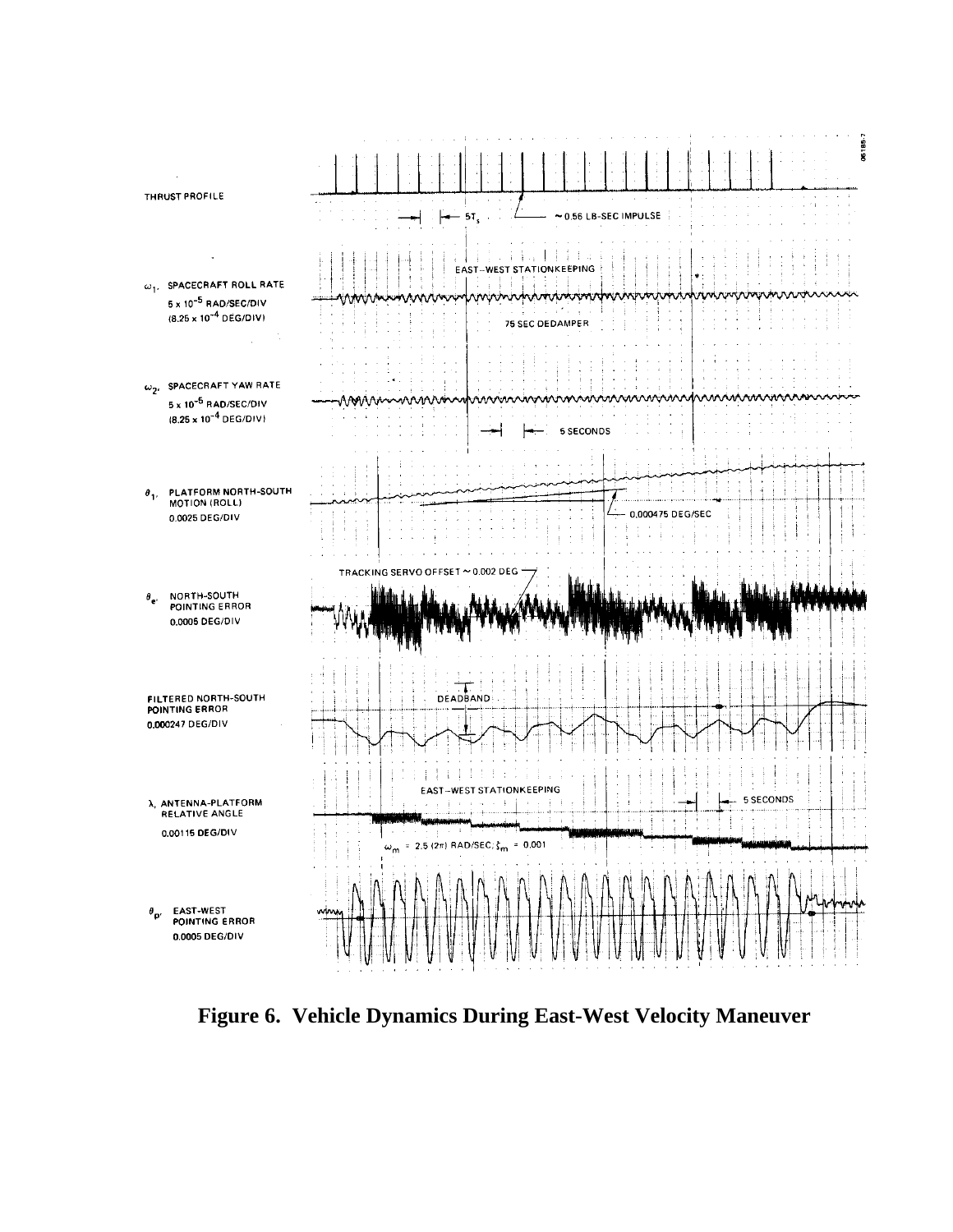

**Figure 6. Vehicle Dynamics During East-West Velocity Maneuver**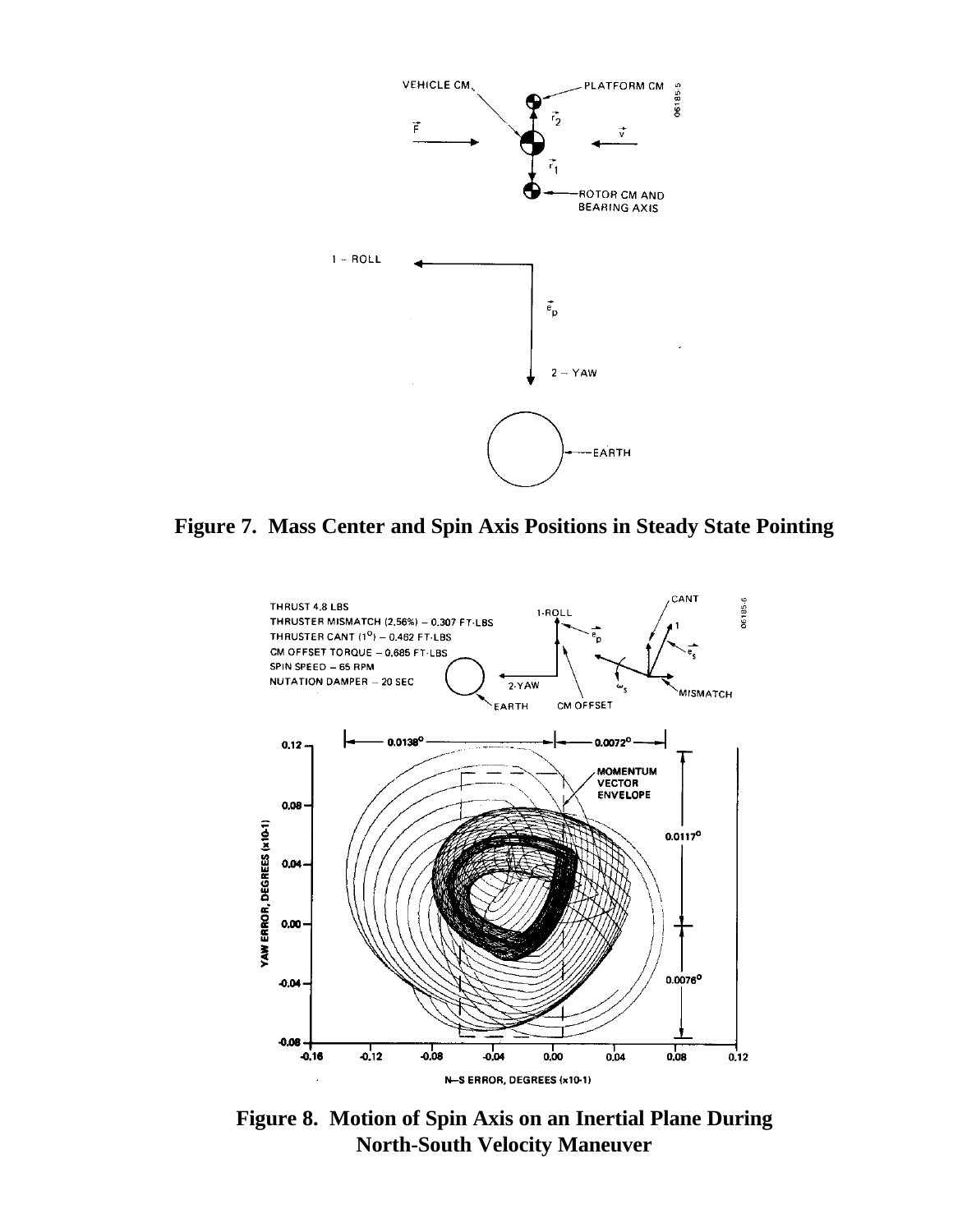

**Figure 7. Mass Center and Spin Axis Positions in Steady State Pointing**



**Figure 8. Motion of Spin Axis on an Inertial Plane During North-South Velocity Maneuver**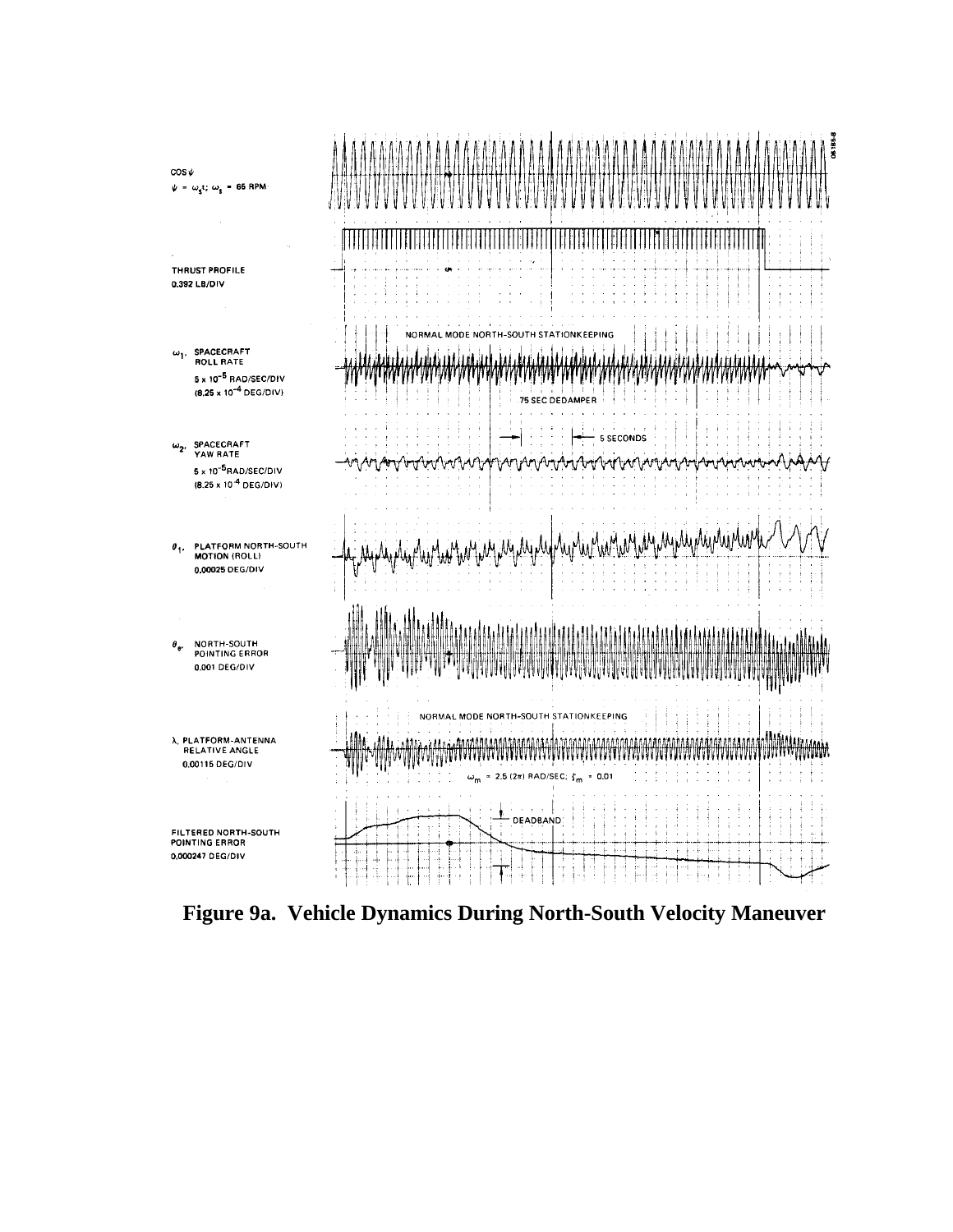

**Figure 9a. Vehicle Dynamics During North-South Velocity Maneuver**